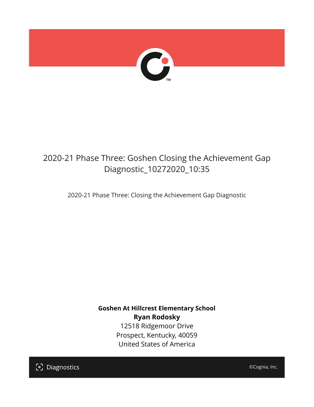

## 2020-21 Phase Three: Goshen Closing the Achievement Gap Diagnostic\_10272020\_10:35

2020-21 Phase Three: Closing the Achievement Gap Diagnostic

**Goshen At Hillcrest Elementary School Ryan Rodosky** 12518 Ridgemoor Drive Prospect, Kentucky, 40059 United States of America

[၁] Diagnostics

©Cognia, Inc.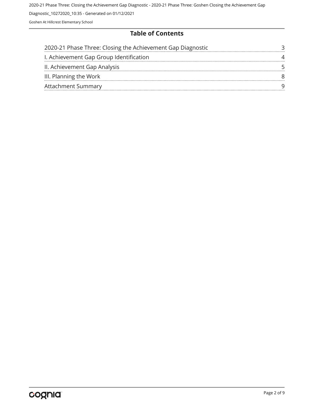#### **Table of Contents**

| 2020-21 Phase Three: Closing the Achievement Gap Diagnostic |  |
|-------------------------------------------------------------|--|
| I. Achievement Gap Group Identification                     |  |
| II. Achievement Gap Analysis                                |  |
| III. Planning the Work                                      |  |
| <b>Attachment Summary</b>                                   |  |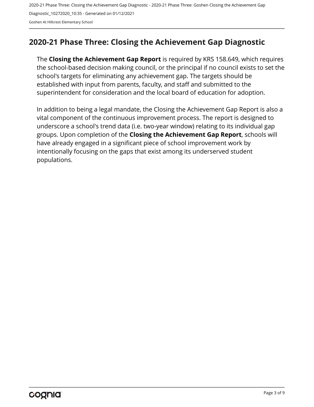#### <span id="page-2-0"></span>**2020-21 Phase Three: Closing the Achievement Gap Diagnostic**

The **Closing the Achievement Gap Report** is required by KRS 158.649, which requires the school-based decision making council, or the principal if no council exists to set the school's targets for eliminating any achievement gap. The targets should be established with input from parents, faculty, and staff and submitted to the superintendent for consideration and the local board of education for adoption.

In addition to being a legal mandate, the Closing the Achievement Gap Report is also a vital component of the continuous improvement process. The report is designed to underscore a school's trend data (i.e. two-year window) relating to its individual gap groups. Upon completion of the **Closing the Achievement Gap Report**, schools will have already engaged in a significant piece of school improvement work by intentionally focusing on the gaps that exist among its underserved student populations.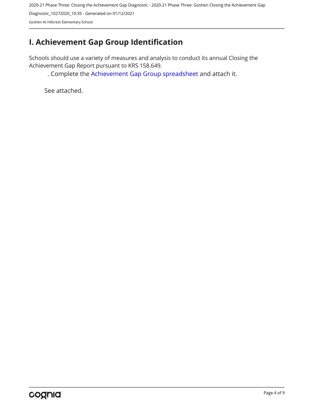### <span id="page-3-0"></span>**I. Achievement Gap Group Identification**

Schools should use a variety of measures and analysis to conduct its annual Closing the Achievement Gap Report pursuant to KRS 158.649.

. Complete the [Achievement Gap Group spreadsheet a](https://drive.google.com/file/d/0B7A6n8V1dmUOWFNKY2dSTTFibjA/view?usp=sharing)nd attach it.

See attached.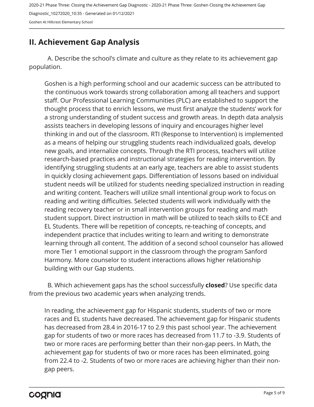#### <span id="page-4-0"></span>**II. Achievement Gap Analysis**

A. Describe the school's climate and culture as they relate to its achievement gap population.

Goshen is a high performing school and our academic success can be attributed to the continuous work towards strong collaboration among all teachers and support staff. Our Professional Learning Communities (PLC) are established to support the thought process that to enrich lessons, we must first analyze the students' work for a strong understanding of student success and growth areas. In depth data analysis assists teachers in developing lessons of inquiry and encourages higher level thinking in and out of the classroom. RTI (Response to Intervention) is implemented as a means of helping our struggling students reach individualized goals, develop new goals, and internalize concepts. Through the RTI process, teachers will utilize research-based practices and instructional strategies for reading intervention. By identifying struggling students at an early age, teachers are able to assist students in quickly closing achievement gaps. Differentiation of lessons based on individual student needs will be utilized for students needing specialized instruction in reading and writing content. Teachers will utilize small intentional group work to focus on reading and writing difficulties. Selected students will work individually with the reading recovery teacher or in small intervention groups for reading and math student support. Direct instruction in math will be utilized to teach skills to ECE and EL Students. There will be repetition of concepts, re-teaching of concepts, and independent practice that includes writing to learn and writing to demonstrate learning through all content. The addition of a second school counselor has allowed more Tier 1 emotional support in the classroom through the program Sanford Harmony. More counselor to student interactions allows higher relationship building with our Gap students.

B. Which achievement gaps has the school successfully **closed**? Use specific data from the previous two academic years when analyzing trends.

In reading, the achievement gap for Hispanic students, students of two or more races and EL students have decreased. The achievement gap for Hispanic students has decreased from 28.4 in 2016-17 to 2.9 this past school year. The achievement gap for students of two or more races has decreased from 11.7 to -3.9. Students of two or more races are performing better than their non-gap peers. In Math, the achievement gap for students of two or more races has been eliminated, going from 22.4 to -2. Students of two or more races are achieving higher than their nongap peers.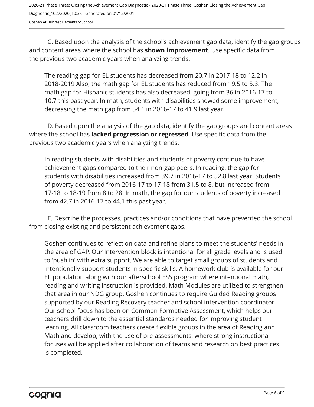C. Based upon the analysis of the school's achievement gap data, identify the gap groups and content areas where the school has **shown improvement**. Use specific data from the previous two academic years when analyzing trends.

The reading gap for EL students has decreased from 20.7 in 2017-18 to 12.2 in 2018-2019 Also, the math gap for EL students has reduced from 19.5 to 5.3. The math gap for Hispanic students has also decreased, going from 36 in 2016-17 to 10.7 this past year. In math, students with disabilities showed some improvement, decreasing the math gap from 54.1 in 2016-17 to 41.9 last year.

D. Based upon the analysis of the gap data, identify the gap groups and content areas where the school has **lacked progression or regressed**. Use specific data from the previous two academic years when analyzing trends.

In reading students with disabilities and students of poverty continue to have achievement gaps compared to their non-gap peers. In reading, the gap for students with disabilities increased from 39.7 in 2016-17 to 52.8 last year. Students of poverty decreased from 2016-17 to 17-18 from 31.5 to 8, but increased from 17-18 to 18-19 from 8 to 28. In math, the gap for our students of poverty increased from 42.7 in 2016-17 to 44.1 this past year.

E. Describe the processes, practices and/or conditions that have prevented the school from closing existing and persistent achievement gaps.

Goshen continues to reflect on data and refine plans to meet the students' needs in the area of GAP. Our Intervention block is intentional for all grade levels and is used to 'push in' with extra support. We are able to target small groups of students and intentionally support students in specific skills. A homework club is available for our EL population along with our afterschool ESS program where intentional math, reading and writing instruction is provided. Math Modules are utilized to strengthen that area in our NDG group. Goshen continues to require Guided Reading groups supported by our Reading Recovery teacher and school intervention coordinator. Our school focus has been on Common Formative Assessment, which helps our teachers drill down to the essential standards needed for improving student learning. All classroom teachers create flexible groups in the area of Reading and Math and develop, with the use of pre-assessments, where strong instructional focuses will be applied after collaboration of teams and research on best practices is completed.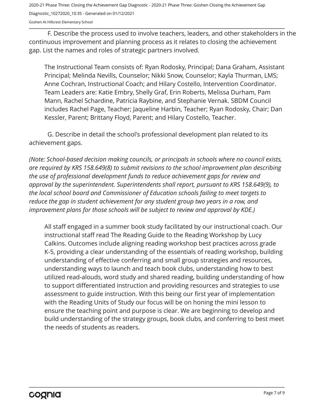2020-21 Phase Three: Closing the Achievement Gap Diagnostic - 2020-21 Phase Three: Goshen Closing the Achievement Gap Diagnostic\_10272020\_10:35 - Generated on 01/12/2021

Goshen At Hillcrest Elementary School

F. Describe the process used to involve teachers, leaders, and other stakeholders in the continuous improvement and planning process as it relates to closing the achievement gap. List the names and roles of strategic partners involved.

The Instructional Team consists of: Ryan Rodosky, Principal; Dana Graham, Assistant Principal; Melinda Nevills, Counselor; Nikki Snow, Counselor; Kayla Thurman, LMS; Anne Cochran, Instructional Coach; and Hilary Costello, Intervention Coordinator. Team Leaders are: Katie Embry, Shelly Graf, Erin Roberts, Melissa Durham, Pam Mann, Rachel Schardine, Patricia Raybine, and Stephanie Vernak. SBDM Council includes Rachel Page, Teacher; Jaqueline Harbin, Teacher; Ryan Rodosky, Chair; Dan Kessler, Parent; Brittany Floyd, Parent; and Hilary Costello, Teacher.

G. Describe in detail the school's professional development plan related to its achievement gaps.

*(Note: School-based decision making councils, or principals in schools where no council exists, are required by KRS 158.649(8) to submit revisions to the school improvement plan describing the use of professional development funds to reduce achievement gaps for review and approval by the superintendent. Superintendents shall report, pursuant to KRS 158.649(9), to the local school board and Commissioner of Education schools failing to meet targets to reduce the gap in student achievement for any student group two years in a row, and improvement plans for those schools will be subject to review and approval by KDE.)* 

All staff engaged in a summer book study facilitated by our instructional coach. Our instructional staff read The Reading Guide to the Reading Workshop by Lucy Calkins. Outcomes include aligning reading workshop best practices across grade K-5, providing a clear understanding of the essentials of reading workshop, building understanding of effective conferring and small group strategies and resources, understanding ways to launch and teach book clubs, understanding how to best utilized read-alouds, word study and shared reading, building understanding of how to support differentiated instruction and providing resources and strategies to use assessment to guide instruction. With this being our first year of implementation with the Reading Units of Study our focus will be on honing the mini lesson to ensure the teaching point and purpose is clear. We are beginning to develop and build understanding of the strategy groups, book clubs, and conferring to best meet the needs of students as readers.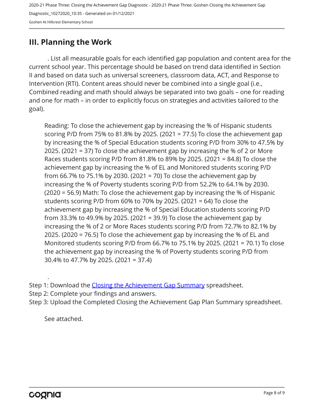#### <span id="page-7-0"></span>**III. Planning the Work**

. List all measurable goals for each identified gap population and content area for the current school year. This percentage should be based on trend data identified in Section II and based on data such as universal screeners, classroom data, ACT, and Response to Intervention (RTI). Content areas should never be combined into a single goal (i.e., Combined reading and math should always be separated into two goals – one for reading and one for math – in order to explicitly focus on strategies and activities tailored to the goal).

Reading: To close the achievement gap by increasing the % of Hispanic students scoring P/D from 75% to 81.8% by 2025. (2021 = 77.5) To close the achievement gap by increasing the % of Special Education students scoring P/D from 30% to 47.5% by 2025. (2021 = 37) To close the achievement gap by increasing the % of 2 or More Races students scoring P/D from 81.8% to 89% by 2025. (2021 = 84.8) To close the achievement gap by increasing the % of EL and Monitored students scoring P/D from 66.7% to 75.1% by 2030. (2021 = 70) To close the achievement gap by increasing the % of Poverty students scoring P/D from 52.2% to 64.1% by 2030. (2020 = 56.9) Math: To close the achievement gap by increasing the % of Hispanic students scoring P/D from 60% to 70% by 2025. (2021 = 64) To close the achievement gap by increasing the % of Special Education students scoring P/D from 33.3% to 49.9% by 2025. (2021 = 39.9) To close the achievement gap by increasing the % of 2 or More Races students scoring P/D from 72.7% to 82.1% by 2025. (2020 = 76.5) To close the achievement gap by increasing the % of EL and Monitored students scoring P/D from 66.7% to 75.1% by 2025. (2021 = 70.1) To close the achievement gap by increasing the % of Poverty students scoring P/D from 30.4% to 47.7% by 2025. (2021 = 37.4)

Step 1: Download the [Closing the Achievement Gap Summary](https://drive.google.com/file/d/0B6i22i6omk4ySmUtTHZuSVRFazQ/view) spreadsheet.

Step 2: Complete your findings and answers.

Step 3: Upload the Completed Closing the Achievement Gap Plan Summary spreadsheet.

See attached.

.